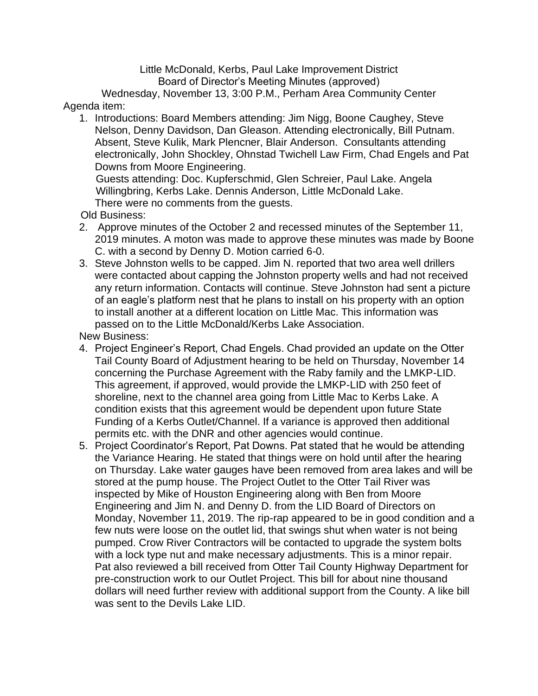Little McDonald, Kerbs, Paul Lake Improvement District Board of Director's Meeting Minutes (approved)

Wednesday, November 13, 3:00 P.M., Perham Area Community Center Agenda item:

1. Introductions: Board Members attending: Jim Nigg, Boone Caughey, Steve Nelson, Denny Davidson, Dan Gleason. Attending electronically, Bill Putnam. Absent, Steve Kulik, Mark Plencner, Blair Anderson. Consultants attending electronically, John Shockley, Ohnstad Twichell Law Firm, Chad Engels and Pat Downs from Moore Engineering.

Guests attending: Doc. Kupferschmid, Glen Schreier, Paul Lake. Angela Willingbring, Kerbs Lake. Dennis Anderson, Little McDonald Lake. There were no comments from the guests.

Old Business:

- 2. Approve minutes of the October 2 and recessed minutes of the September 11, 2019 minutes. A moton was made to approve these minutes was made by Boone C. with a second by Denny D. Motion carried 6-0.
- 3. Steve Johnston wells to be capped. Jim N. reported that two area well drillers were contacted about capping the Johnston property wells and had not received any return information. Contacts will continue. Steve Johnston had sent a picture of an eagle's platform nest that he plans to install on his property with an option to install another at a different location on Little Mac. This information was passed on to the Little McDonald/Kerbs Lake Association.

New Business:

- 4. Project Engineer's Report, Chad Engels. Chad provided an update on the Otter Tail County Board of Adjustment hearing to be held on Thursday, November 14 concerning the Purchase Agreement with the Raby family and the LMKP-LID. This agreement, if approved, would provide the LMKP-LID with 250 feet of shoreline, next to the channel area going from Little Mac to Kerbs Lake. A condition exists that this agreement would be dependent upon future State Funding of a Kerbs Outlet/Channel. If a variance is approved then additional permits etc. with the DNR and other agencies would continue.
- 5. Project Coordinator's Report, Pat Downs. Pat stated that he would be attending the Variance Hearing. He stated that things were on hold until after the hearing on Thursday. Lake water gauges have been removed from area lakes and will be stored at the pump house. The Project Outlet to the Otter Tail River was inspected by Mike of Houston Engineering along with Ben from Moore Engineering and Jim N. and Denny D. from the LID Board of Directors on Monday, November 11, 2019. The rip-rap appeared to be in good condition and a few nuts were loose on the outlet lid, that swings shut when water is not being pumped. Crow River Contractors will be contacted to upgrade the system bolts with a lock type nut and make necessary adjustments. This is a minor repair. Pat also reviewed a bill received from Otter Tail County Highway Department for pre-construction work to our Outlet Project. This bill for about nine thousand dollars will need further review with additional support from the County. A like bill was sent to the Devils Lake LID.